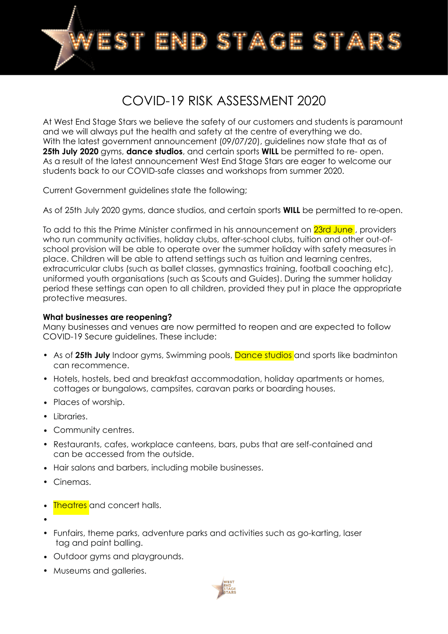

# COVID-19 RISK ASSESSMENT 2020

At West End Stage Stars we believe the safety of our customers and students is paramount and we will always put the health and safety at the centre of everything we do. With the latest government announcement (*09/07/20*), guidelines now state that as of **25th July 2020** gyms, **dance studios**, and certain sports **WILL** be permitted to re- open. As a result of the latest announcement West End Stage Stars are eager to welcome our students back to our COVID-safe classes and workshops from summer 2020.

Current Government guidelines state the following;

As of 25th July 2020 gyms, dance studios, and certain sports **WILL** be permitted to re-open.

To add to this the Prime Minister confirmed in his announcement on 23rd June, providers who run community activities, holiday clubs, after-school clubs, tuition and other out-ofschool provision will be able to operate over the summer holiday with safety measures in place. Children will be able to attend settings such as tuition and learning centres, extracurricular clubs (such as ballet classes, gymnastics training, football coaching etc), uniformed youth organisations (such as Scouts and Guides). During the summer holiday period these settings can open to all children, provided they put in place the appropriate protective measures.

#### **What businesses are reopening?**

Many businesses and venues are now permitted to reopen and are expected to follow COVID-19 Secure guidelines. These include:

- As of 25th July Indoor gyms, Swimming pools, Dance studios and sports like badminton can recommence.
- Hotels, hostels, bed and breakfast accommodation, holiday apartments or homes, cottages or bungalows, campsites, caravan parks or boarding houses.
- Places of worship.
- Libraries.
- Community centres.
- Restaurants, cafes, workplace canteens, bars, pubs that are self-contained and can be accessed from the outside.
- Hair salons and barbers, including mobile businesses.
- Cinemas.
- **Theatres** and concert halls.
- •
- Funfairs, theme parks, adventure parks and activities such as go-karting, laser tag and paint balling.
- Outdoor gyms and playgrounds.
- Museums and galleries.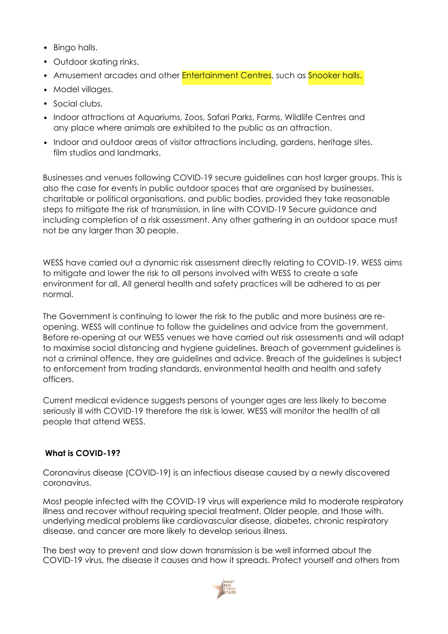- Bingo halls.
- Outdoor skating rinks.
- Amusement arcades and other **Entertainment Centres**, such as **Snooker halls.**
- Model villages.
- Social clubs.
- Indoor attractions at Aquariums, Zoos, Safari Parks, Farms, Wildlife Centres and any place where animals are exhibited to the public as an attraction.
- Indoor and outdoor areas of visitor attractions including, gardens, heritage sites, film studios and landmarks.

Businesses and venues following COVID-19 secure guidelines can host larger groups. This is also the case for events in public outdoor spaces that are organised by businesses, charitable or political organisations, and public bodies, provided they take reasonable steps to mitigate the risk of transmission, in line with COVID-19 Secure guidance and including completion of a risk assessment. Any other gathering in an outdoor space must not be any larger than 30 people.

WESS have carried out a dynamic risk assessment directly relating to COVID-19. WESS aims to mitigate and lower the risk to all persons involved with WESS to create a safe environment for all. All general health and safety practices will be adhered to as per normal.

The Government is continuing to lower the risk to the public and more business are reopening. WESS will continue to follow the guidelines and advice from the government. Before re-opening at our WESS venues we have carried out risk assessments and will adapt to maximise social distancing and hygiene guidelines. Breach of government guidelines is not a criminal offence, they are guidelines and advice. Breach of the guidelines is subject to enforcement from trading standards, environmental health and health and safety officers.

Current medical evidence suggests persons of younger ages are less likely to become seriously ill with COVID-19 therefore the risk is lower. WESS will monitor the health of all people that attend WESS.

## **What is COVID-19?**

Coronavirus disease (COVID-19) is an infectious disease caused by a newly discovered coronavirus.

Most people infected with the COVID-19 virus will experience mild to moderate respiratory illness and recover without requiring special treatment. Older people, and those with. underlying medical problems like cardiovascular disease, diabetes, chronic respiratory disease, and cancer are more likely to develop serious illness.

The best way to prevent and slow down transmission is be well informed about the COVID-19 virus, the disease it causes and how it spreads. Protect yourself and others from

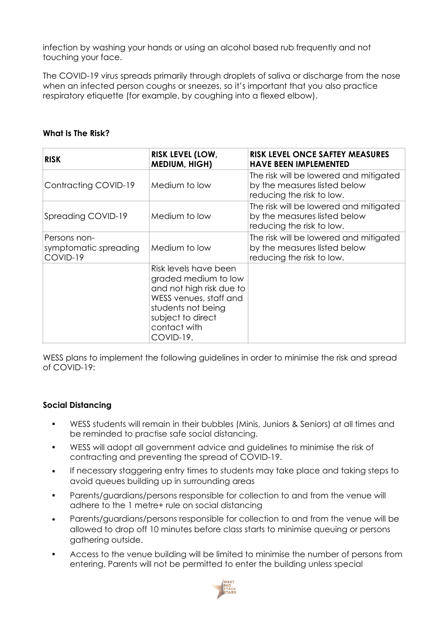infection by washing your hands or using an alcohol based rub frequently and not touching your face.

The COVID-19 virus spreads primarily through droplets of saliva or discharge from the nose when an infected person coughs or sneezes, so it's important that you also practice respiratory etiquette (for example, by coughing into a flexed elbow).

### **What Is The Risk?**

| <b>RISK</b>                                       | <b>RISK LEVEL (LOW,</b><br><b>MEDIUM, HIGH)</b>                                                                                                                             | <b>RISK LEVEL ONCE SAFTEY MEASURES</b><br><b>HAVE BEEN IMPLEMENTED</b>                              |
|---------------------------------------------------|-----------------------------------------------------------------------------------------------------------------------------------------------------------------------------|-----------------------------------------------------------------------------------------------------|
| Contracting COVID-19                              | Medium to low                                                                                                                                                               | The risk will be lowered and mitigated<br>by the measures listed below<br>reducing the risk to low. |
| Spreading COVID-19                                | Medium to low                                                                                                                                                               | The risk will be lowered and mitigated<br>by the measures listed below<br>reducing the risk to low. |
| Persons non-<br>symptomatic spreading<br>COVID-19 | Medium to low                                                                                                                                                               | The risk will be lowered and mitigated<br>by the measures listed below<br>reducing the risk to low. |
|                                                   | Risk levels have been<br>graded medium to low<br>and not high risk due to<br>WESS venues, staff and<br>students not being<br>subject to direct<br>contact with<br>COVID-19. |                                                                                                     |

WESS plans to implement the following guidelines in order to minimise the risk and spread of COVID-19:

#### **Social Distancing**

- WESS students will remain in their bubbles (Minis, Juniors & Seniors) at all times and be reminded to practise safe social distancing.
- WESS will adopt all government advice and guidelines to minimise the risk of contracting and preventing the spread of COVID-19.
- If necessary staggering entry times to students may take place and taking steps to avoid queues building up in surrounding areas
- Parents/guardians/persons responsible for collection to and from the venue will adhere to the 1 metre+ rule on social distancing
- Parents/guardians/persons responsible for collection to and from the venue will be allowed to drop off 10 minutes before class starts to minimise queuing or persons gathering outside.
- Access to the venue building will be limited to minimise the number of persons from entering. Parents will not be permitted to enter the building unless special

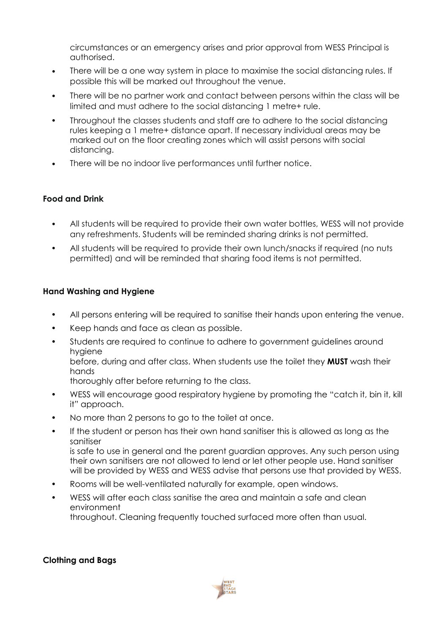circumstances or an emergency arises and prior approval from WESS Principal is authorised.

- There will be a one way system in place to maximise the social distancing rules. If possible this will be marked out throughout the venue.
- There will be no partner work and contact between persons within the class will be limited and must adhere to the social distancing 1 metre+ rule.
- Throughout the classes students and staff are to adhere to the social distancing rules keeping a 1 metre+ distance apart. If necessary individual areas may be marked out on the floor creating zones which will assist persons with social distancing.
- There will be no indoor live performances until further notice.

#### **Food and Drink**

- All students will be required to provide their own water bottles, WESS will not provide any refreshments. Students will be reminded sharing drinks is not permitted.
- All students will be required to provide their own lunch/snacks if required (no nuts permitted) and will be reminded that sharing food items is not permitted.

#### **Hand Washing and Hygiene**

- All persons entering will be required to sanitise their hands upon entering the venue.
- Keep hands and face as clean as possible.
- Students are required to continue to adhere to government guidelines around hygiene

before, during and after class. When students use the toilet they **MUST** wash their hands

thoroughly after before returning to the class.

- WESS will encourage good respiratory hygiene by promoting the "catch it, bin it, kill it" approach.
- No more than 2 persons to go to the toilet at once.
- If the student or person has their own hand sanitiser this is allowed as long as the sanitiser is safe to use in general and the parent guardian approves. Any such person using their own sanitisers are not allowed to lend or let other people use. Hand sanitiser will be provided by WESS and WESS advise that persons use that provided by WESS.
- Rooms will be well-ventilated naturally for example, open windows.
- WESS will after each class sanitise the area and maintain a safe and clean environment throughout. Cleaning frequently touched surfaced more often than usual.

#### **Clothing and Bags**